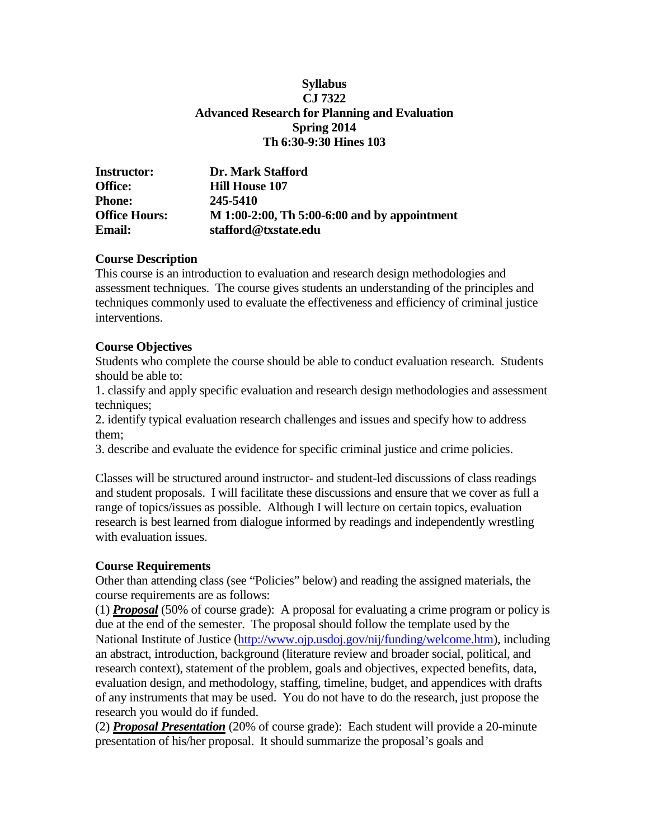### **Syllabus CJ 7322 Advanced Research for Planning and Evaluation Spring 2014 Th 6:30-9:30 Hines 103**

| <b>Instructor:</b>   | Dr. Mark Stafford                            |
|----------------------|----------------------------------------------|
| <b>Office:</b>       | <b>Hill House 107</b>                        |
| <b>Phone:</b>        | 245-5410                                     |
| <b>Office Hours:</b> | M 1:00-2:00, Th 5:00-6:00 and by appointment |
| <b>Email:</b>        | stafford@txstate.edu                         |

### **Course Description**

This course is an introduction to evaluation and research design methodologies and assessment techniques. The course gives students an understanding of the principles and techniques commonly used to evaluate the effectiveness and efficiency of criminal justice interventions.

### **Course Objectives**

Students who complete the course should be able to conduct evaluation research. Students should be able to:

1. classify and apply specific evaluation and research design methodologies and assessment techniques;

2. identify typical evaluation research challenges and issues and specify how to address them;

3. describe and evaluate the evidence for specific criminal justice and crime policies.

Classes will be structured around instructor- and student-led discussions of class readings and student proposals. I will facilitate these discussions and ensure that we cover as full a range of topics/issues as possible. Although I will lecture on certain topics, evaluation research is best learned from dialogue informed by readings and independently wrestling with evaluation issues.

### **Course Requirements**

Other than attending class (see "Policies" below) and reading the assigned materials, the course requirements are as follows:

(1) *Proposal* (50% of course grade): A proposal for evaluating a crime program or policy is due at the end of the semester. The proposal should follow the template used by the National Institute of Justice [\(http://www.ojp.usdoj.gov/nij/funding/welcome.htm\)](http://www.ojp.usdoj.gov/nij/funding/welcome.htm), including an abstract, introduction, background (literature review and broader social, political, and research context), statement of the problem, goals and objectives, expected benefits, data, evaluation design, and methodology, staffing, timeline, budget, and appendices with drafts of any instruments that may be used. You do not have to do the research, just propose the research you would do if funded.

(2) *Proposal Presentation* (20% of course grade): Each student will provide a 20-minute presentation of his/her proposal. It should summarize the proposal's goals and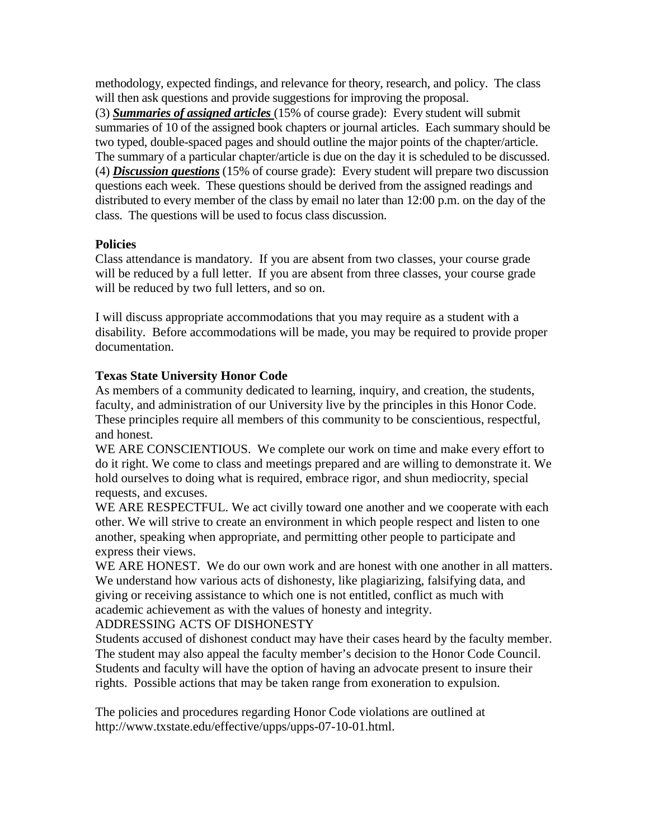methodology, expected findings, and relevance for theory, research, and policy. The class will then ask questions and provide suggestions for improving the proposal.

(3) *Summaries of assigned articles* (15% of course grade): Every student will submit summaries of 10 of the assigned book chapters or journal articles. Each summary should be two typed, double-spaced pages and should outline the major points of the chapter/article. The summary of a particular chapter/article is due on the day it is scheduled to be discussed. (4) *Discussion questions* (15% of course grade): Every student will prepare two discussion questions each week. These questions should be derived from the assigned readings and distributed to every member of the class by email no later than 12:00 p.m. on the day of the class. The questions will be used to focus class discussion.

## **Policies**

Class attendance is mandatory. If you are absent from two classes, your course grade will be reduced by a full letter. If you are absent from three classes, your course grade will be reduced by two full letters, and so on.

I will discuss appropriate accommodations that you may require as a student with a disability. Before accommodations will be made, you may be required to provide proper documentation.

## **Texas State University Honor Code**

As members of a community dedicated to learning, inquiry, and creation, the students, faculty, and administration of our University live by the principles in this Honor Code. These principles require all members of this community to be conscientious, respectful, and honest.

WE ARE CONSCIENTIOUS. We complete our work on time and make every effort to do it right. We come to class and meetings prepared and are willing to demonstrate it. We hold ourselves to doing what is required, embrace rigor, and shun mediocrity, special requests, and excuses.

WE ARE RESPECTFUL. We act civilly toward one another and we cooperate with each other. We will strive to create an environment in which people respect and listen to one another, speaking when appropriate, and permitting other people to participate and express their views.

WE ARE HONEST. We do our own work and are honest with one another in all matters. We understand how various acts of dishonesty, like plagiarizing, falsifying data, and giving or receiving assistance to which one is not entitled, conflict as much with academic achievement as with the values of honesty and integrity.

ADDRESSING ACTS OF DISHONESTY

Students accused of dishonest conduct may have their cases heard by the faculty member. The student may also appeal the faculty member's decision to the Honor Code Council. Students and faculty will have the option of having an advocate present to insure their rights. Possible actions that may be taken range from exoneration to expulsion.

The policies and procedures regarding Honor Code violations are outlined at [http://www.txstate.edu/effective/upps/upps-07-10-01.html.](http://www.txstate.edu/effective/upps/upps-07-10-01.html)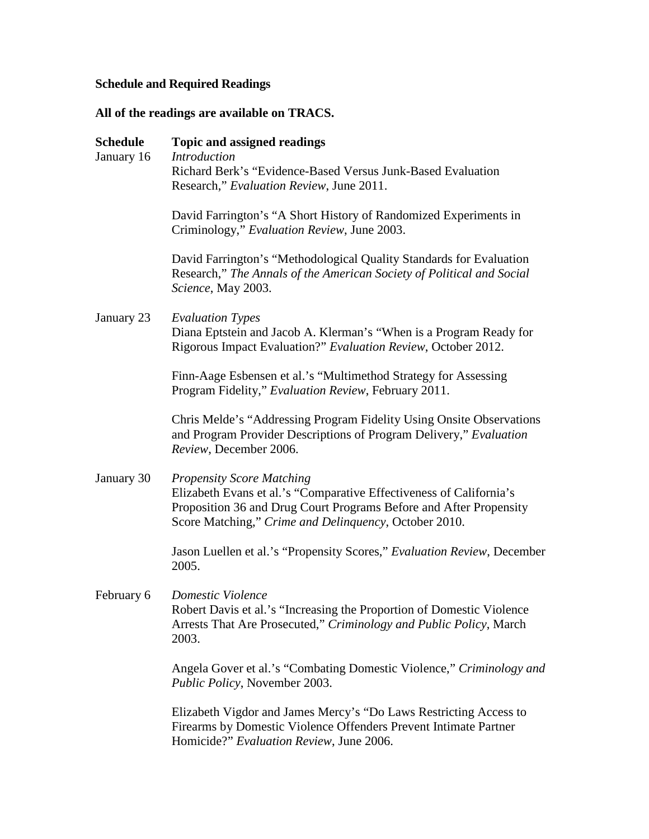# **Schedule and Required Readings**

# **All of the readings are available on TRACS.**

| <b>Schedule</b><br>January 16 | Topic and assigned readings<br><b>Introduction</b><br>Richard Berk's "Evidence-Based Versus Junk-Based Evaluation<br>Research," Evaluation Review, June 2011.                                                                          |
|-------------------------------|----------------------------------------------------------------------------------------------------------------------------------------------------------------------------------------------------------------------------------------|
|                               | David Farrington's "A Short History of Randomized Experiments in<br>Criminology," Evaluation Review, June 2003.                                                                                                                        |
|                               | David Farrington's "Methodological Quality Standards for Evaluation<br>Research," The Annals of the American Society of Political and Social<br>Science, May 2003.                                                                     |
| January 23                    | <b>Evaluation Types</b><br>Diana Eptstein and Jacob A. Klerman's "When is a Program Ready for<br>Rigorous Impact Evaluation?" Evaluation Review, October 2012.                                                                         |
|                               | Finn-Aage Esbensen et al.'s "Multimethod Strategy for Assessing<br>Program Fidelity," Evaluation Review, February 2011.                                                                                                                |
|                               | Chris Melde's "Addressing Program Fidelity Using Onsite Observations<br>and Program Provider Descriptions of Program Delivery," Evaluation<br>Review, December 2006.                                                                   |
| January 30                    | <b>Propensity Score Matching</b><br>Elizabeth Evans et al.'s "Comparative Effectiveness of California's<br>Proposition 36 and Drug Court Programs Before and After Propensity<br>Score Matching," Crime and Delinquency, October 2010. |
|                               | Jason Luellen et al.'s "Propensity Scores," Evaluation Review, December<br>2005.                                                                                                                                                       |
| February 6                    | Domestic Violence<br>Robert Davis et al.'s "Increasing the Proportion of Domestic Violence<br>Arrests That Are Prosecuted," Criminology and Public Policy, March<br>2003.                                                              |
|                               | Angela Gover et al.'s "Combating Domestic Violence," Criminology and<br><i>Public Policy</i> , November 2003.                                                                                                                          |
|                               | Elizabeth Vigdor and James Mercy's "Do Laws Restricting Access to<br>Firearms by Domestic Violence Offenders Prevent Intimate Partner<br>Homicide?" Evaluation Review, June 2006.                                                      |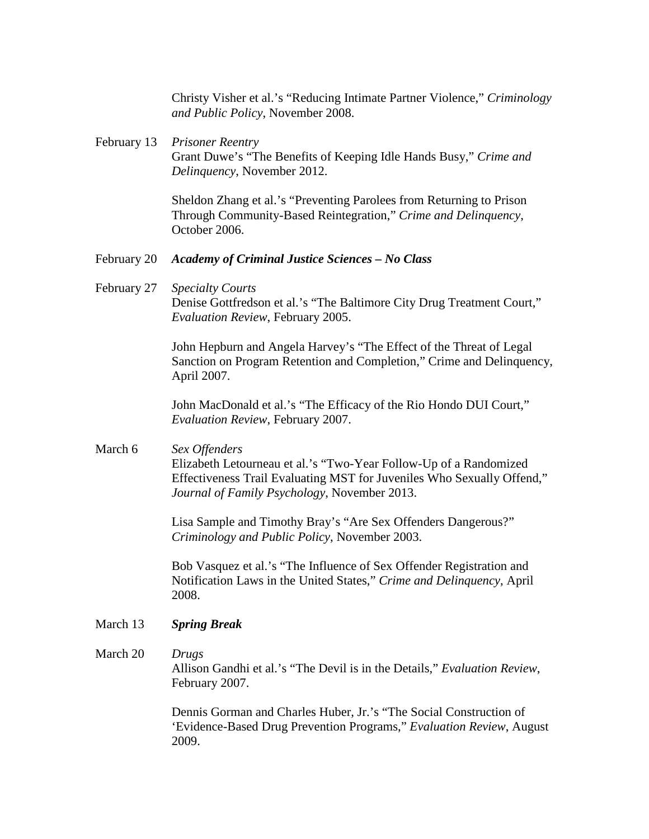Christy Visher et al.'s "Reducing Intimate Partner Violence," *Criminology and Public Policy*, November 2008.

### February 13 *Prisoner Reentry* Grant Duwe's "The Benefits of Keeping Idle Hands Busy," *Crime and Delinquency*, November 2012.

Sheldon Zhang et al.'s "Preventing Parolees from Returning to Prison Through Community-Based Reintegration," *Crime and Delinquency*, October 2006.

#### February 20 *Academy of Criminal Justice Sciences – No Class*

February 27 *Specialty Courts* Denise Gottfredson et al.'s "The Baltimore City Drug Treatment Court," *Evaluation Review*, February 2005.

> John Hepburn and Angela Harvey's "The Effect of the Threat of Legal Sanction on Program Retention and Completion," Crime and Delinquency, April 2007.

John MacDonald et al.'s "The Efficacy of the Rio Hondo DUI Court," *Evaluation Review*, February 2007.

### March 6 *Sex Offenders*

Elizabeth Letourneau et al.'s "Two-Year Follow-Up of a Randomized Effectiveness Trail Evaluating MST for Juveniles Who Sexually Offend," *Journal of Family Psychology*, November 2013.

Lisa Sample and Timothy Bray's "Are Sex Offenders Dangerous?" *Criminology and Public Policy*, November 2003.

Bob Vasquez et al.'s "The Influence of Sex Offender Registration and Notification Laws in the United States," *Crime and Delinquency*, April 2008.

### March 13 *Spring Break*

### March 20 *Drugs*

Allison Gandhi et al.'s "The Devil is in the Details," *Evaluation Review*, February 2007.

Dennis Gorman and Charles Huber, Jr.'s "The Social Construction of 'Evidence-Based Drug Prevention Programs," *Evaluation Review*, August 2009.